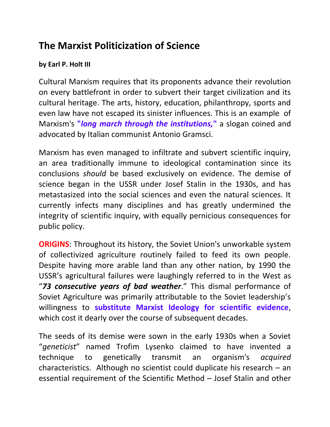## **The Marxist Politicization of Science**

## **by Earl P. Holt III**

Cultural Marxism requires that its proponents advance their revolution on every battlefront in order to subvert their target civilization and its cultural heritage. The arts, history, education, philanthropy, sports and even law have not escaped its sinister influences. This is an example of Marxism's **"***long march through the institutions,***"** a slogan coined and advocated by Italian communist Antonio Gramsci.

Marxism has even managed to infiltrate and subvert scientific inquiry, an area traditionally immune to ideological contamination since its conclusions *should* be based exclusively on evidence. The demise of science began in the USSR under Josef Stalin in the 1930s, and has metastasized into the social sciences and even the natural sciences. It currently infects many disciplines and has greatly undermined the integrity of scientific inquiry, with equally pernicious consequences for public policy.

**ORIGINS:** Throughout its history, the Soviet Union's unworkable system of collectivized agriculture routinely failed to feed its own people. Despite having more arable land than any other nation, by 1990 the USSR's agricultural failures were laughingly referred to in the West as "*73 consecutive years of bad weather*." This dismal performance of Soviet Agriculture was primarily attributable to the Soviet leadership's willingness to **substitute Marxist Ideology for scientific evidence**, which cost it dearly over the course of subsequent decades.

The seeds of its demise were sown in the early 1930s when a Soviet "*geneticist*" named Trofim Lysenko claimed to have invented a technique to genetically transmit an organism's *acquired* characteristics. Although no scientist could duplicate his research – an essential requirement of the Scientific Method – Josef Stalin and other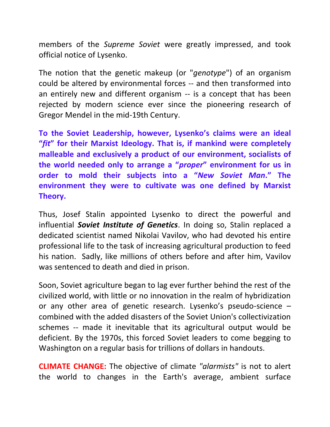members of the *Supreme Soviet* were greatly impressed, and took official notice of Lysenko.

The notion that the genetic makeup (or "*genotype*") of an organism could be altered by environmental forces -- and then transformed into an entirely new and different organism -- is a concept that has been rejected by modern science ever since the pioneering research of Gregor Mendel in the mid-19th Century.

**To the Soviet Leadership, however, Lysenko's claims were an ideal "***fit***" for their Marxist Ideology. That is, if mankind were completely malleable and exclusively a product of our environment, socialists of the world needed only to arrange a "***proper***" environment for us in order to mold their subjects into a "***New Soviet Man***." The environment they were to cultivate was one defined by Marxist Theory.** 

Thus, Josef Stalin appointed Lysenko to direct the powerful and influential *Soviet Institute of Genetics*. In doing so, Stalin replaced a dedicated scientist named Nikolai Vavilov, who had devoted his entire professional life to the task of increasing agricultural production to feed his nation. Sadly, like millions of others before and after him, Vavilov was sentenced to death and died in prison.

Soon, Soviet agriculture began to lag ever further behind the rest of the civilized world, with little or no innovation in the realm of hybridization or any other area of genetic research. Lysenko's pseudo-science – combined with the added disasters of the Soviet Union's collectivization schemes -- made it inevitable that its agricultural output would be deficient. By the 1970s, this forced Soviet leaders to come begging to Washington on a regular basis for trillions of dollars in handouts.

**CLIMATE CHANGE:** The objective of climate *"alarmists"* is not to alert the world to changes in the Earth's average, ambient surface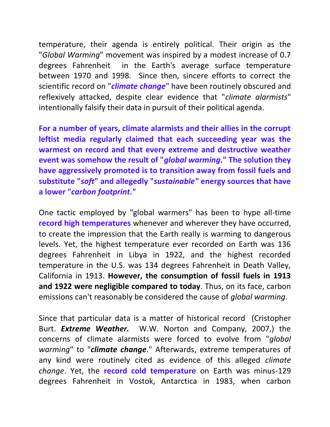temperature, their agenda is entirely political. Their origin as the "*Global Warming*" movement was inspired by a modest increase of 0.7 degrees Fahrenheit in the Earth's average surface temperature between 1970 and 1998. Since then, sincere efforts to correct the scientific record on "*climate change*" have been routinely obscured and reflexively attacked, despite clear evidence that "*climate alarmists*" intentionally falsify their data in pursuit of their political agenda.

**For a number of years, climate alarmists and their allies in the corrupt leftist media regularly claimed that each succeeding year was the warmest on record and that every extreme and destructive weather event was somehow the result of "***global warming***." The solution they have aggressively promoted is to transition away from fossil fuels and substitute "***soft***" and allegedly "***sustainable"* **energy sources that have a lower "***carbon footprint***."**

One tactic employed by "global warmers" has been to hype all-time **record high temperatures** whenever and wherever they have occurred, to create the impression that the Earth really is warming to dangerous levels. Yet, the highest temperature ever recorded on Earth was 136 degrees Fahrenheit in Libya in 1922, and the highest recorded temperature in the U.S. was 134 degrees Fahrenheit in Death Valley, California in 1913. **However, the consumption of fossil fuels in 1913 and 1922 were negligible compared to today**. Thus, on its face, carbon emissions can't reasonably be considered the cause of *global warming*.

Since that particular data is a matter of historical record (Cristopher Burt. *Extreme Weather.* W.W. Norton and Company, 2007,) the concerns of climate alarmists were forced to evolve from "*global warming*" to "*climate change*." Afterwards, extreme temperatures of any kind were routinely cited as evidence of this alleged *climate change*. Yet, the **record cold temperature** on Earth was minus-129 degrees Fahrenheit in Vostok, Antarctica in 1983, when carbon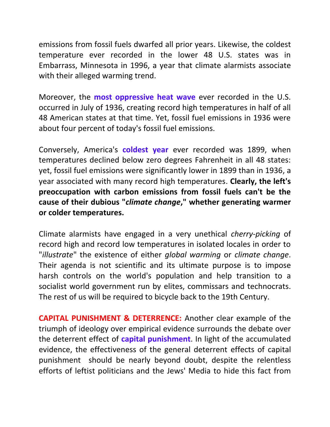emissions from fossil fuels dwarfed all prior years. Likewise, the coldest temperature ever recorded in the lower 48 U.S. states was in Embarrass, Minnesota in 1996, a year that climate alarmists associate with their alleged warming trend.

Moreover, the **most oppressive heat wave** ever recorded in the U.S. occurred in July of 1936, creating record high temperatures in half of all 48 American states at that time. Yet, fossil fuel emissions in 1936 were about four percent of today's fossil fuel emissions.

Conversely, America's **coldest year** ever recorded was 1899, when temperatures declined below zero degrees Fahrenheit in all 48 states: yet, fossil fuel emissions were significantly lower in 1899 than in 1936, a year associated with many record high temperatures. **Clearly, the left's preoccupation with carbon emissions from fossil fuels can't be the cause of their dubious "***climate change***," whether generating warmer or colder temperatures.**

Climate alarmists have engaged in a very unethical *cherry-picking* of record high and record low temperatures in isolated locales in order to "*illustrate*" the existence of either *global warming* or *climate change*. Their agenda is not scientific and its ultimate purpose is to impose harsh controls on the world's population and help transition to a socialist world government run by elites, commissars and technocrats. The rest of us will be required to bicycle back to the 19th Century.

**CAPITAL PUNISHMENT & DETERRENCE:** Another clear example of the triumph of ideology over empirical evidence surrounds the debate over the deterrent effect of **capital punishment**. In light of the accumulated evidence, the effectiveness of the general deterrent effects of capital punishment should be nearly beyond doubt, despite the relentless efforts of leftist politicians and the Jews' Media to hide this fact from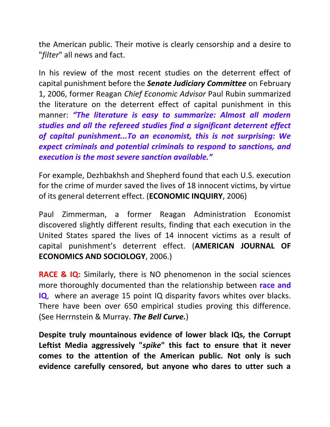the American public. Their motive is clearly censorship and a desire to "*filter*" all news and fact.

In his review of the most recent studies on the deterrent effect of capital punishment before the *Senate Judiciary Committee* on February 1, 2006, former Reagan *Chief Economic Advisor* Paul Rubin summarized the literature on the deterrent effect of capital punishment in this manner: *"The literature is easy to summarize: Almost all modern studies and all the refereed studies find a significant deterrent effect of capital punishment...To an economist, this is not surprising: We expect criminals and potential criminals to respond to sanctions, and execution is the most severe sanction available."* 

For example, Dezhbakhsh and Shepherd found that each U.S. execution for the crime of murder saved the lives of 18 innocent victims, by virtue of its general deterrent effect. (**ECONOMIC INQUIRY**, 2006)

Paul Zimmerman, a former Reagan Administration Economist discovered slightly different results, finding that each execution in the United States spared the lives of 14 innocent victims as a result of capital punishment's deterrent effect. (**AMERICAN JOURNAL OF ECONOMICS AND SOCIOLOGY**, 2006.)

**RACE & IQ:** Similarly, there is NO phenomenon in the social sciences more thoroughly documented than the relationship between **race and IQ**, where an average 15 point IQ disparity favors whites over blacks. There have been over 650 empirical studies proving this difference. (See Herrnstein & Murray. *The Bell Curve.*)

**Despite truly mountainous evidence of lower black IQs, the Corrupt Leftist Media aggressively "***spike***" this fact to ensure that it never comes to the attention of the American public. Not only is such evidence carefully censored, but anyone who dares to utter such a**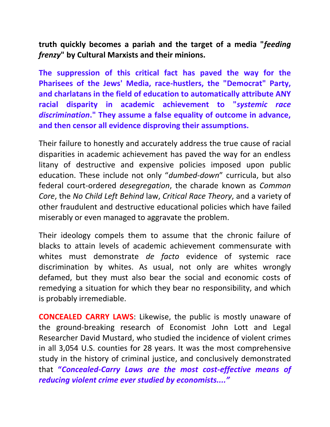**truth quickly becomes a pariah and the target of a media "***feeding frenzy***" by Cultural Marxists and their minions.**

**The suppression of this critical fact has paved the way for the Pharisees of the Jews' Media, race-hustlers, the "Democrat" Party, and charlatans in the field of education to automatically attribute ANY racial disparity in academic achievement to "***systemic race discrimination***." They assume a false equality of outcome in advance, and then censor all evidence disproving their assumptions.** 

Their failure to honestly and accurately address the true cause of racial disparities in academic achievement has paved the way for an endless litany of destructive and expensive policies imposed upon public education. These include not only "*dumbed-down*" curricula, but also federal court-ordered *desegregation*, the charade known as *Common Core*, the *No Child Left Behind* law, *Critical Race Theory*, and a variety of other fraudulent and destructive educational policies which have failed miserably or even managed to aggravate the problem.

Their ideology compels them to assume that the chronic failure of blacks to attain levels of academic achievement commensurate with whites must demonstrate *de facto* evidence of systemic race discrimination by whites. As usual, not only are whites wrongly defamed, but they must also bear the social and economic costs of remedying a situation for which they bear no responsibility, and which is probably irremediable.

**CONCEALED CARRY LAWS**: Likewise, the public is mostly unaware of the ground-breaking research of Economist John Lott and Legal Researcher David Mustard, who studied the incidence of violent crimes in all 3,054 U.S. counties for 28 years. It was the most comprehensive study in the history of criminal justice, and conclusively demonstrated that **"***Concealed-Carry Laws are the most cost-effective means of reducing violent crime ever studied by economists...."*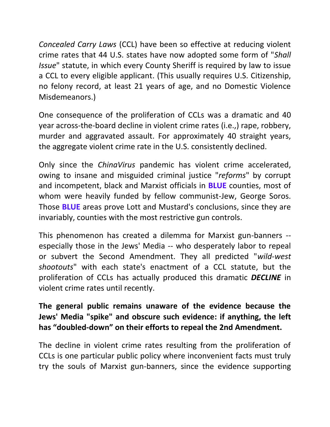*Concealed Carry Laws* (CCL) have been so effective at reducing violent crime rates that 44 U.S. states have now adopted some form of "*Shall Issue*" statute, in which every County Sheriff is required by law to issue a CCL to every eligible applicant. (This usually requires U.S. Citizenship, no felony record, at least 21 years of age, and no Domestic Violence Misdemeanors.)

One consequence of the proliferation of CCLs was a dramatic and 40 year across-the-board decline in violent crime rates (i.e.,) rape, robbery, murder and aggravated assault. For approximately 40 straight years, the aggregate violent crime rate in the U.S. consistently declined.

Only since the *ChinaVirus* pandemic has violent crime accelerated, owing to insane and misguided criminal justice "*reforms*" by corrupt and incompetent, black and Marxist officials in **BLUE** counties, most of whom were heavily funded by fellow communist-Jew, George Soros. Those **BLUE** areas prove Lott and Mustard's conclusions, since they are invariably, counties with the most restrictive gun controls.

This phenomenon has created a dilemma for Marxist gun-banners - especially those in the Jews' Media -- who desperately labor to repeal or subvert the Second Amendment. They all predicted "*wild-west shootouts*" with each state's enactment of a CCL statute, but the proliferation of CCLs has actually produced this dramatic *DECLINE* in violent crime rates until recently.

## **The general public remains unaware of the evidence because the Jews' Media "spike" and obscure such evidence: if anything, the left has "doubled-down" on their efforts to repeal the 2nd Amendment.**

The decline in violent crime rates resulting from the proliferation of CCLs is one particular public policy where inconvenient facts must truly try the souls of Marxist gun-banners, since the evidence supporting